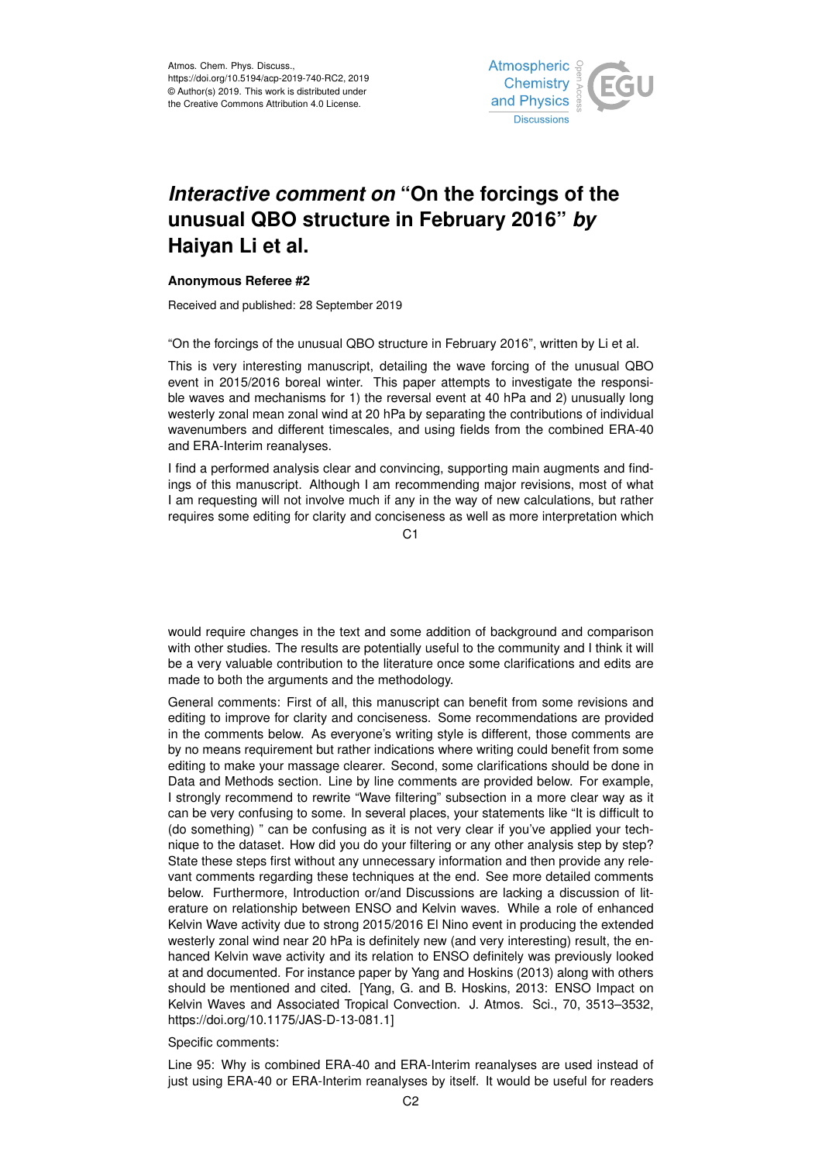

## *Interactive comment on* **"On the forcings of the unusual QBO structure in February 2016"** *by* **Haiyan Li et al.**

## **Anonymous Referee #2**

Received and published: 28 September 2019

"On the forcings of the unusual QBO structure in February 2016", written by Li et al.

This is very interesting manuscript, detailing the wave forcing of the unusual QBO event in 2015/2016 boreal winter. This paper attempts to investigate the responsible waves and mechanisms for 1) the reversal event at 40 hPa and 2) unusually long westerly zonal mean zonal wind at 20 hPa by separating the contributions of individual wavenumbers and different timescales, and using fields from the combined ERA-40 and ERA-Interim reanalyses.

I find a performed analysis clear and convincing, supporting main augments and findings of this manuscript. Although I am recommending major revisions, most of what I am requesting will not involve much if any in the way of new calculations, but rather requires some editing for clarity and conciseness as well as more interpretation which

C1

would require changes in the text and some addition of background and comparison with other studies. The results are potentially useful to the community and I think it will be a very valuable contribution to the literature once some clarifications and edits are made to both the arguments and the methodology.

General comments: First of all, this manuscript can benefit from some revisions and editing to improve for clarity and conciseness. Some recommendations are provided in the comments below. As everyone's writing style is different, those comments are by no means requirement but rather indications where writing could benefit from some editing to make your massage clearer. Second, some clarifications should be done in Data and Methods section. Line by line comments are provided below. For example, I strongly recommend to rewrite "Wave filtering" subsection in a more clear way as it can be very confusing to some. In several places, your statements like "It is difficult to (do something) " can be confusing as it is not very clear if you've applied your technique to the dataset. How did you do your filtering or any other analysis step by step? State these steps first without any unnecessary information and then provide any relevant comments regarding these techniques at the end. See more detailed comments below. Furthermore, Introduction or/and Discussions are lacking a discussion of literature on relationship between ENSO and Kelvin waves. While a role of enhanced Kelvin Wave activity due to strong 2015/2016 El Nino event in producing the extended westerly zonal wind near 20 hPa is definitely new (and very interesting) result, the enhanced Kelvin wave activity and its relation to ENSO definitely was previously looked at and documented. For instance paper by Yang and Hoskins (2013) along with others should be mentioned and cited. [Yang, G. and B. Hoskins, 2013: ENSO Impact on Kelvin Waves and Associated Tropical Convection. J. Atmos. Sci., 70, 3513–3532, https://doi.org/10.1175/JAS-D-13-081.1]

## Specific comments:

Line 95: Why is combined ERA-40 and ERA-Interim reanalyses are used instead of just using ERA-40 or ERA-Interim reanalyses by itself. It would be useful for readers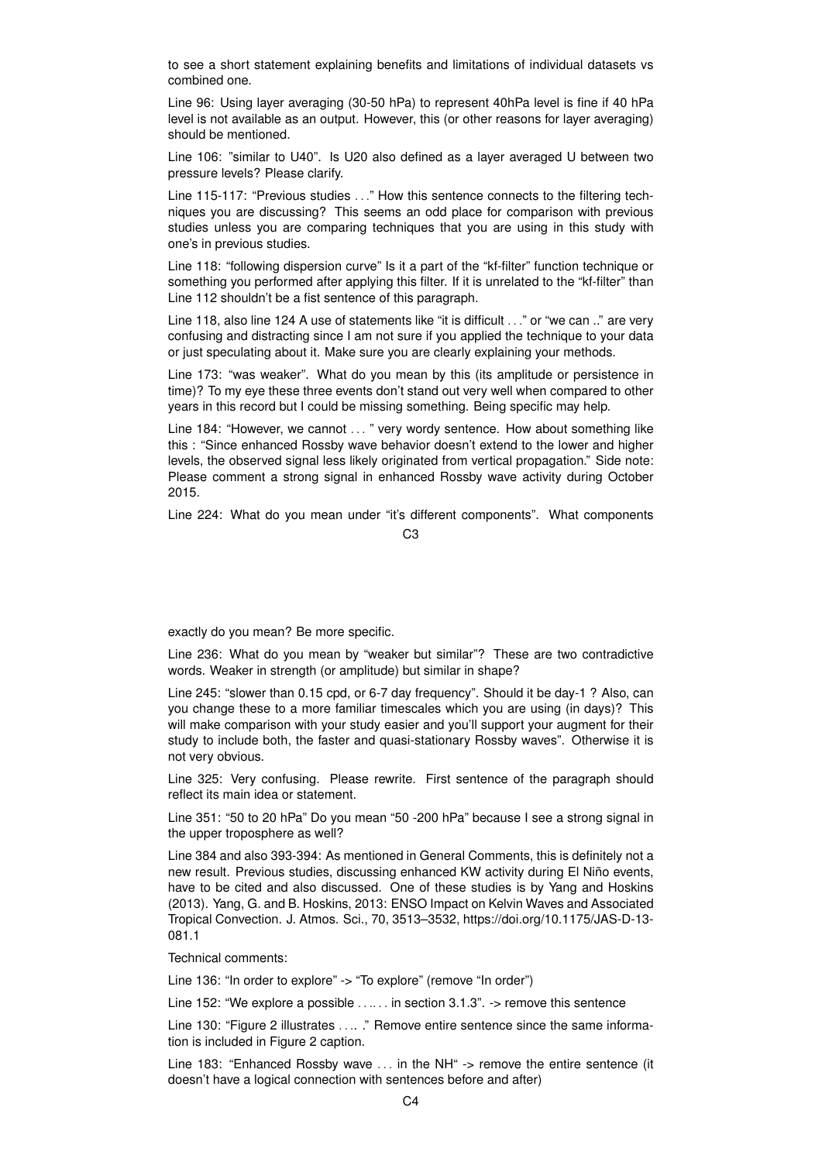to see a short statement explaining benefits and limitations of individual datasets vs combined one.

Line 96: Using layer averaging (30-50 hPa) to represent 40hPa level is fine if 40 hPa level is not available as an output. However, this (or other reasons for layer averaging) should be mentioned.

Line 106: "similar to U40". Is U20 also defined as a layer averaged U between two pressure levels? Please clarify.

Line 115-117: "Previous studies . . ." How this sentence connects to the filtering techniques you are discussing? This seems an odd place for comparison with previous studies unless you are comparing techniques that you are using in this study with one's in previous studies.

Line 118: "following dispersion curve" Is it a part of the "kf-filter" function technique or something you performed after applying this filter. If it is unrelated to the "kf-filter" than Line 112 shouldn't be a fist sentence of this paragraph.

Line 118, also line 124 A use of statements like "it is difficult . . ." or "we can .." are very confusing and distracting since I am not sure if you applied the technique to your data or just speculating about it. Make sure you are clearly explaining your methods.

Line 173: "was weaker". What do you mean by this (its amplitude or persistence in time)? To my eye these three events don't stand out very well when compared to other years in this record but I could be missing something. Being specific may help.

Line 184: "However, we cannot ... " very wordy sentence. How about something like this : "Since enhanced Rossby wave behavior doesn't extend to the lower and higher levels, the observed signal less likely originated from vertical propagation." Side note: Please comment a strong signal in enhanced Rossby wave activity during October 2015.

Line 224: What do you mean under "it's different components". What components

## $C<sub>3</sub>$

exactly do you mean? Be more specific.

Line 236: What do you mean by "weaker but similar"? These are two contradictive words. Weaker in strength (or amplitude) but similar in shape?

Line 245: "slower than 0.15 cpd, or 6-7 day frequency". Should it be day-1 ? Also, can you change these to a more familiar timescales which you are using (in days)? This will make comparison with your study easier and you'll support your augment for their study to include both, the faster and quasi-stationary Rossby waves". Otherwise it is not very obvious.

Line 325: Very confusing. Please rewrite. First sentence of the paragraph should reflect its main idea or statement.

Line 351: "50 to 20 hPa" Do you mean "50 -200 hPa" because I see a strong signal in the upper troposphere as well?

Line 384 and also 393-394: As mentioned in General Comments, this is definitely not a new result. Previous studies, discussing enhanced KW activity during El Niño events, have to be cited and also discussed. One of these studies is by Yang and Hoskins (2013). Yang, G. and B. Hoskins, 2013: ENSO Impact on Kelvin Waves and Associated Tropical Convection. J. Atmos. Sci., 70, 3513–3532, https://doi.org/10.1175/JAS-D-13- 081.1

Technical comments:

Line 136: "In order to explore" -> "To explore" (remove "In order")

Line 152: "We explore a possible ...... in section 3.1.3". -> remove this sentence

Line 130: "Figure 2 illustrates .... ." Remove entire sentence since the same information is included in Figure 2 caption.

Line 183: "Enhanced Rossby wave ... in the NH" -> remove the entire sentence (it doesn't have a logical connection with sentences before and after)